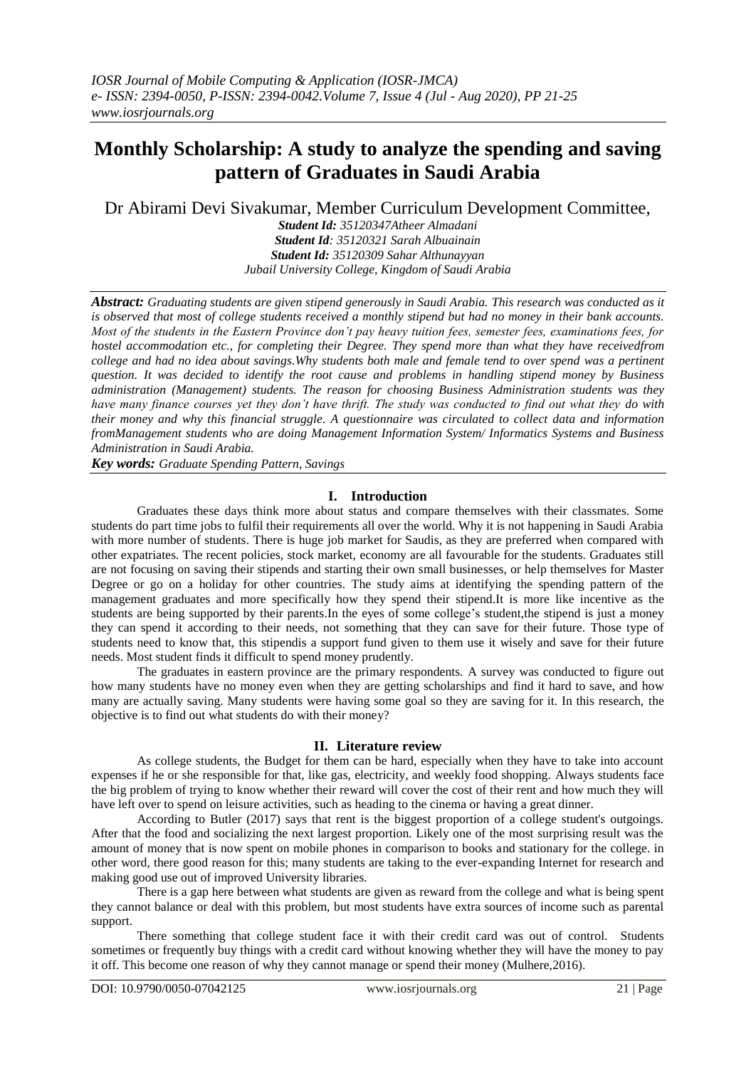# **Monthly Scholarship: A study to analyze the spending and saving pattern of Graduates in Saudi Arabia**

Dr Abirami Devi Sivakumar, Member Curriculum Development Committee,

*Student Id: 35120347Atheer Almadani Student Id: 35120321 Sarah Albuainain Student Id: 35120309 Sahar Althunayyan Jubail University College, Kingdom of Saudi Arabia*

*Abstract: Graduating students are given stipend generously in Saudi Arabia. This research was conducted as it is observed that most of college students received a monthly stipend but had no money in their bank accounts. Most of the students in the Eastern Province don't pay heavy tuition fees, semester fees, examinations fees, for hostel accommodation etc., for completing their Degree. They spend more than what they have receivedfrom college and had no idea about savings.Why students both male and female tend to over spend was a pertinent question. It was decided to identify the root cause and problems in handling stipend money by Business administration (Management) students. The reason for choosing Business Administration students was they have many finance courses yet they don't have thrift. The study was conducted to find out what they do with their money and why this financial struggle. A questionnaire was circulated to collect data and information fromManagement students who are doing Management Information System/ Informatics Systems and Business Administration in Saudi Arabia.*

*Key words: Graduate Spending Pattern, Savings* 

## **I. Introduction**

Graduates these days think more about status and compare themselves with their classmates. Some students do part time jobs to fulfil their requirements all over the world. Why it is not happening in Saudi Arabia with more number of students. There is huge job market for Saudis, as they are preferred when compared with other expatriates. The recent policies, stock market, economy are all favourable for the students. Graduates still are not focusing on saving their stipends and starting their own small businesses, or help themselves for Master Degree or go on a holiday for other countries. The study aims at identifying the spending pattern of the management graduates and more specifically how they spend their stipend.It is more like incentive as the students are being supported by their parents.In the eyes of some college's student,the stipend is just a money they can spend it according to their needs, not something that they can save for their future. Those type of students need to know that, this stipendis a support fund given to them use it wisely and save for their future needs. Most student finds it difficult to spend money prudently.

The graduates in eastern province are the primary respondents. A survey was conducted to figure out how many students have no money even when they are getting scholarships and find it hard to save, and how many are actually saving. Many students were having some goal so they are saving for it. In this research, the objective is to find out what students do with their money?

#### **II. Literature review**

As college students, the Budget for them can be hard, especially when they have to take into account expenses if he or she responsible for that, like gas, electricity, and weekly food shopping. Always students face the big problem of trying to know whether their reward will cover the cost of their rent and how much they will have left over to spend on leisure activities, such as heading to the cinema or having a great dinner.

According to Butler (2017) says that rent is the biggest proportion of a college student's outgoings. After that the food and socializing the next largest proportion. Likely one of the most surprising result was the amount of money that is now spent on mobile phones in comparison to books and stationary for the college. in other word, there good reason for this; many students are taking to the ever-expanding Internet for research and making good use out of improved University libraries.

There is a gap here between what students are given as reward from the college and what is being spent they cannot balance or deal with this problem, but most students have extra sources of income such as parental support.

There something that college student face it with their credit card was out of control. Students sometimes or frequently buy things with a credit card without knowing whether they will have the money to pay it off. This become one reason of why they cannot manage or spend their money (Mulhere,2016).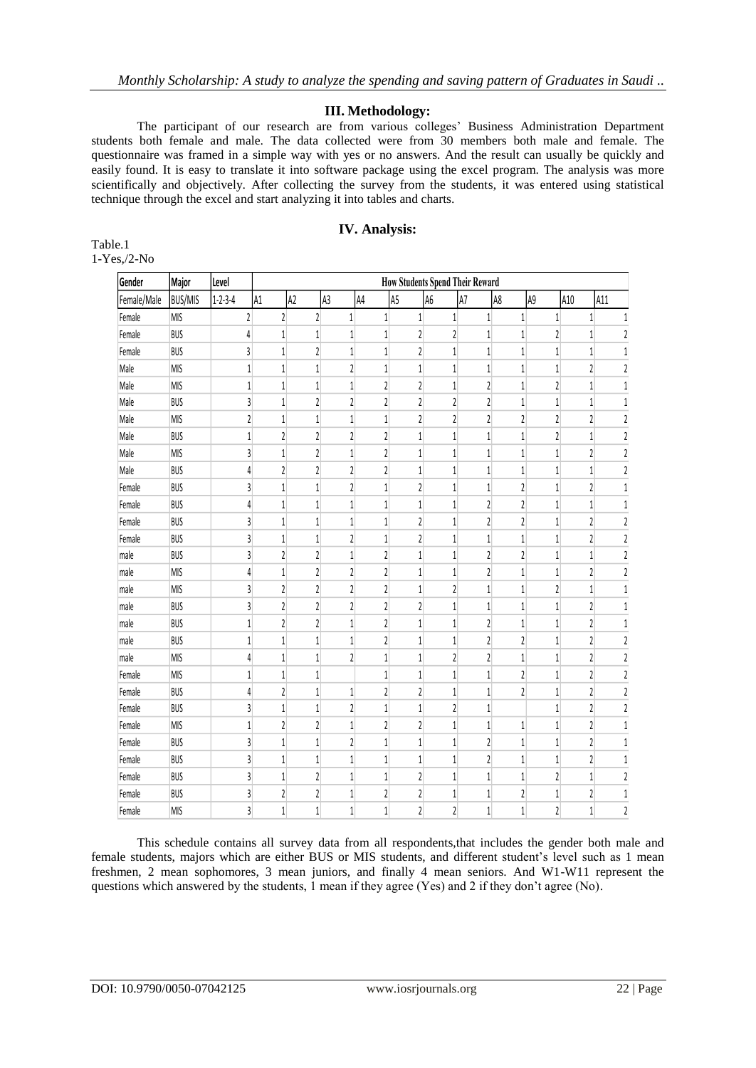## **III. Methodology:**

The participant of our research are from various colleges' Business Administration Department students both female and male. The data collected were from 30 members both male and female. The questionnaire was framed in a simple way with yes or no answers. And the result can usually be quickly and easily found. It is easy to translate it into software package using the excel program. The analysis was more scientifically and objectively. After collecting the survey from the students, it was entered using statistical technique through the excel and start analyzing it into tables and charts.

## **IV. Analysis:**

| Table.1            |
|--------------------|
| $1-Yes$ , $/2$ -No |

| Gender      | Major          | Level           | <b>How Students Spend Their Reward</b> |                         |                         |                         |                         |                |                         |                         |                         |                         |                         |                         |                         |
|-------------|----------------|-----------------|----------------------------------------|-------------------------|-------------------------|-------------------------|-------------------------|----------------|-------------------------|-------------------------|-------------------------|-------------------------|-------------------------|-------------------------|-------------------------|
| Female/Male | <b>BUS/MIS</b> | $1 - 2 - 3 - 4$ | A1                                     | A2                      | A <sub>3</sub>          |                         | A4                      | A <sub>5</sub> | A6                      | A7                      | A8                      | A9                      | A10                     |                         | A11                     |
| Female      | <b>MIS</b>     |                 | $\overline{\mathbf{c}}$                | $\overline{2}$          | 2                       | $\mathbf{1}$            | $1\,$                   |                | 1                       | $\mathbf{1}$            | 1                       | $\mathbf{1}$            | $\mathbf{1}$            | $\mathbf{1}$            | $1\,$                   |
| Female      | <b>BUS</b>     |                 | 4                                      | 1                       | 1                       | 1                       | 1                       |                | 2                       | $\overline{\mathbf{c}}$ | $\mathbf{1}$            | 1                       | 2                       | 1                       | 2                       |
| Female      | BUS            |                 | 3                                      | $\mathbf{1}$            | $\overline{\mathbf{c}}$ | $\mathbf{1}$            | $\mathbf{1}$            |                | 2                       | $\mathbf{1}$            | 1                       | 1                       | 1                       | 1                       | $\,1\,$                 |
| Male        | <b>MIS</b>     |                 | $\mathbf{1}$                           | $\,1\,$                 | 1                       | $\overline{\mathbf{c}}$ | $\mathbf{1}$            |                | 1                       | $1\,$                   | 1                       | 1                       | $\mathbf{1}$            | $\mathfrak z$           | $\overline{\mathbf{c}}$ |
| Male        | <b>MIS</b>     |                 | $\mathbf{1}$                           | 1                       | 1                       | 1                       | $\sqrt{2}$              |                | $\mathbf{2}$            | 1                       | 2                       | 1                       | $\overline{\mathbf{c}}$ | $\mathbf{1}$            | $\,1$                   |
| Male        | BUS            |                 | $\overline{3}$                         | $\mathbf{1}$            | 2                       | 2                       | $\overline{\mathbf{c}}$ |                | 2                       | $\sqrt{2}$              | 2                       | 1                       | 1                       | 1                       | $\mathbf 1$             |
| Male        | <b>MIS</b>     |                 | $\overline{\mathbf{c}}$                | $\mathbf{1}$            | 1                       | $1\,$                   | $1\,$                   |                | 2                       | $\sqrt{2}$              | $\overline{\mathbf{c}}$ | 2                       | $\overline{\mathbf{c}}$ | $\overline{\mathbf{c}}$ | $\overline{\mathbf{c}}$ |
| Male        | BUS            |                 | $\mathbf{1}$                           | $\overline{c}$          | 2                       | $\overline{\mathbf{c}}$ | $\sqrt{2}$              |                | 1                       | $\mathbf{1}$            | 1                       | 1                       | $\overline{c}$          | $\mathbf{1}$            | $\overline{\mathbf{c}}$ |
| Male        | <b>MIS</b>     |                 | 3                                      | $\mathbf{1}$            | $\overline{\mathbf{c}}$ | $\mathbf{1}$            | $\overline{c}$          |                | 1                       | $\mathbf{1}$            | $\mathbf{1}$            | 1                       | $\mathbf{1}$            | $\overline{\mathbf{c}}$ | $\overline{\mathbf{c}}$ |
| Male        | <b>BUS</b>     |                 | $\overline{4}$                         | $\overline{\mathbf{c}}$ | $\overline{\mathbf{c}}$ | $\sqrt{2}$              | $\overline{\mathbf{c}}$ |                | $1\,$                   | $1\,$                   | $\mathbf{1}$            | 1                       | $1\,$                   | $\mathbf{1}$            | $\sqrt{2}$              |
| Female      | BUS            |                 | 3                                      | $\,1$                   | $1\,$                   | $\overline{\mathbf{c}}$ | $\,1$                   |                | 2                       | $1\,$                   | $1\,$                   | 2                       | 1                       | $\overline{\mathbf{c}}$ | $\mathbf 1$             |
| Female      | BUS            |                 | $\overline{4}$                         | $\mathbf{1}$            | 1                       | $1\,$                   | $\mathbf{1}$            |                | 1                       | $1\,$                   | 2                       | 2                       | $\mathbf{1}$            | $\mathbf{1}$            | 1                       |
| Female      | BUS            |                 | 3                                      | $\,1\,$                 | 1                       | $\,1\,$                 | $\,1\,$                 |                | 2                       | $\mathbf{1}$            | 2                       | $\overline{c}$          | $\mathbf{1}$            | $\overline{\mathbf{c}}$ | $\overline{\mathbf{c}}$ |
| Female      | <b>BUS</b>     |                 | 3                                      | $\mathbf{1}$            | $1\,$                   | $\overline{\mathbf{c}}$ | $\mathbf{1}$            |                | $\overline{\mathbf{c}}$ | $\mathbf{1}$            | $\mathbf{1}$            | 1                       | $\overline{1}$          | $\overline{\mathbf{c}}$ | $\overline{\mathbf{c}}$ |
| male        | BUS            |                 | 3                                      | $\overline{2}$          | 2                       | $\mathbf{1}$            | $\overline{c}$          |                | $\mathbf{1}$            | $\mathbf{1}$            | 2                       | $\overline{c}$          | $\overline{1}$          | $\mathbf{1}$            | $\overline{\mathbf{c}}$ |
| male        | <b>MIS</b>     |                 | $\overline{4}$                         | $\mathbf{1}$            | $\overline{\mathbf{c}}$ | $\overline{\mathbf{c}}$ | $\overline{\mathbf{c}}$ |                | $\,1$                   | $\mathbf{1}$            | 2                       | 1                       | $\mathbf{1}$            | $\overline{\mathbf{c}}$ | $\sqrt{2}$              |
| male        | <b>MIS</b>     |                 | $\overline{3}$                         | $\overline{c}$          | $\overline{\mathbf{c}}$ | $\overline{\mathbf{c}}$ | $\overline{\mathbf{c}}$ |                | 1                       | $\overline{\mathbf{c}}$ | $\mathbf 1$             | 1                       | $\overline{\mathbf{c}}$ | $\mathbf{1}$            | $\mathbf{1}$            |
| male        | <b>BUS</b>     |                 | $\overline{3}$                         | $\overline{\mathbf{c}}$ | $\overline{\mathbf{c}}$ | $\overline{\mathbf{c}}$ | $\overline{\mathbf{c}}$ |                | $\overline{c}$          | $\mathbf{1}$            | 1                       | 1                       | $\mathbf{1}$            | $\overline{\mathbf{c}}$ | $\,1$                   |
| male        | <b>BUS</b>     |                 | $\mathbf{1}$                           | $\overline{\mathbf{c}}$ | $\overline{\mathbf{c}}$ | $\,1\,$                 | $\overline{\mathbf{c}}$ |                | $\mathbf{1}$            | $1\,$                   | 2                       | 1                       | $1\,$                   | $\mathfrak z$           | $\,1$                   |
| male        | <b>BUS</b>     |                 | $\mathbf{1}$                           | $\mathbf{1}$            | 1                       | $\mathbf{1}$            | $\overline{\mathbf{c}}$ |                | $\mathbf{1}$            | $\mathbf{1}$            | $\overline{\mathbf{c}}$ | $\overline{c}$          | $\overline{1}$          | $\overline{\mathbf{c}}$ | $\overline{\mathbf{c}}$ |
| male        | <b>MIS</b>     |                 | 4                                      | $\mathbf{1}$            | $\mathbf 1$             | $\overline{c}$          | $\,1\,$                 |                | $\overline{1}$          | $\overline{\mathbf{c}}$ | 2                       | 1                       | $\mathbf{1}$            | $\overline{\mathbf{c}}$ | $\overline{\mathbf{c}}$ |
| Female      | <b>MIS</b>     |                 | $\mathbf{1}$                           | $\mathbf{1}$            | 1                       |                         | $\mathbf{1}$            |                | $\mathbf{1}$            | $\mathbf{1}$            | 1                       | 2                       | $\mathbf{1}$            | $\mathfrak z$           | $\overline{2}$          |
| Female      | <b>BUS</b>     |                 | 4                                      | $\overline{\mathbf{c}}$ | 1                       | $\,1\,$                 | $\overline{\mathbf{c}}$ |                | 2                       | $\mathbf{1}$            | 1                       | $\overline{\mathbf{c}}$ | $\mathbf{1}$            | $\overline{\mathbf{c}}$ | $\overline{\mathbf{c}}$ |
| Female      | <b>BUS</b>     |                 | $\overline{3}$                         | $\,1\,$                 | $\,1$                   | $\overline{\mathbf{c}}$ | $\,1\,$                 |                | $1\,$                   | $\overline{\mathbf{c}}$ | 1                       |                         | $\,1\,$                 | $\overline{\mathbf{c}}$ | $\overline{\mathbf{c}}$ |
| Female      | <b>MIS</b>     |                 | $\mathbf{1}$                           | $\overline{2}$          | $\overline{\mathbf{c}}$ | $\mathbf{1}$            | $\overline{2}$          |                | $\overline{\mathbf{c}}$ | $\mathbf{1}$            | 1                       | 1                       | $\mathbf{1}$            | $\overline{\mathbf{c}}$ | $\,1$                   |
| Female      | <b>BUS</b>     |                 | $\overline{3}$                         | $\mathbf{1}$            | $\,1$                   | $\overline{\mathbf{c}}$ | $\mathbf 1$             |                | $1\,$                   | $1\,$                   | 2                       | 1                       | $\mathbf{1}$            | $\overline{\mathbf{c}}$ | $\mathbf 1$             |
| Female      | <b>BUS</b>     |                 | $\overline{3}$                         | $\,1\,$                 | $\,1$                   | $\,1$                   | $\,1\,$                 |                | $\mathbf 1$             | $1\,$                   | $\overline{\mathbf{c}}$ | 1                       | $1\,$                   | $\overline{\mathbf{c}}$ | $\,1$                   |
| Female      | <b>BUS</b>     |                 | 3                                      | $1\,$                   | $\overline{\mathbf{c}}$ | $1\,$                   | $1\,$                   |                | 2                       | $\mathbf{1}$            | 1                       | 1                       | $\overline{\mathbf{c}}$ | $\mathbf{1}$            | $\overline{\mathbf{c}}$ |
| Female      | BUS            |                 | 3                                      | $\overline{\mathbf{c}}$ | $\overline{\mathbf{c}}$ | 1                       | $\sqrt{2}$              |                | 2                       | $1\,$                   | 1                       | 2                       | $1\,$                   | $\mathfrak z$           | $\,1$                   |
| Female      | <b>MIS</b>     |                 | $\overline{3}$                         | $\mathbf{1}$            | 1                       | $\mathbf{1}$            | $\mathbf{1}$            |                | $\overline{2}$          | $\overline{2}$          | $\mathbf{1}$            | 1                       | $\overline{2}$          | $\mathbf{1}$            | $\overline{2}$          |

This schedule contains all survey data from all respondents,that includes the gender both male and female students, majors which are either BUS or MIS students, and different student's level such as 1 mean freshmen, 2 mean sophomores, 3 mean juniors, and finally 4 mean seniors. And W1-W11 represent the questions which answered by the students, 1 mean if they agree (Yes) and 2 if they don't agree (No).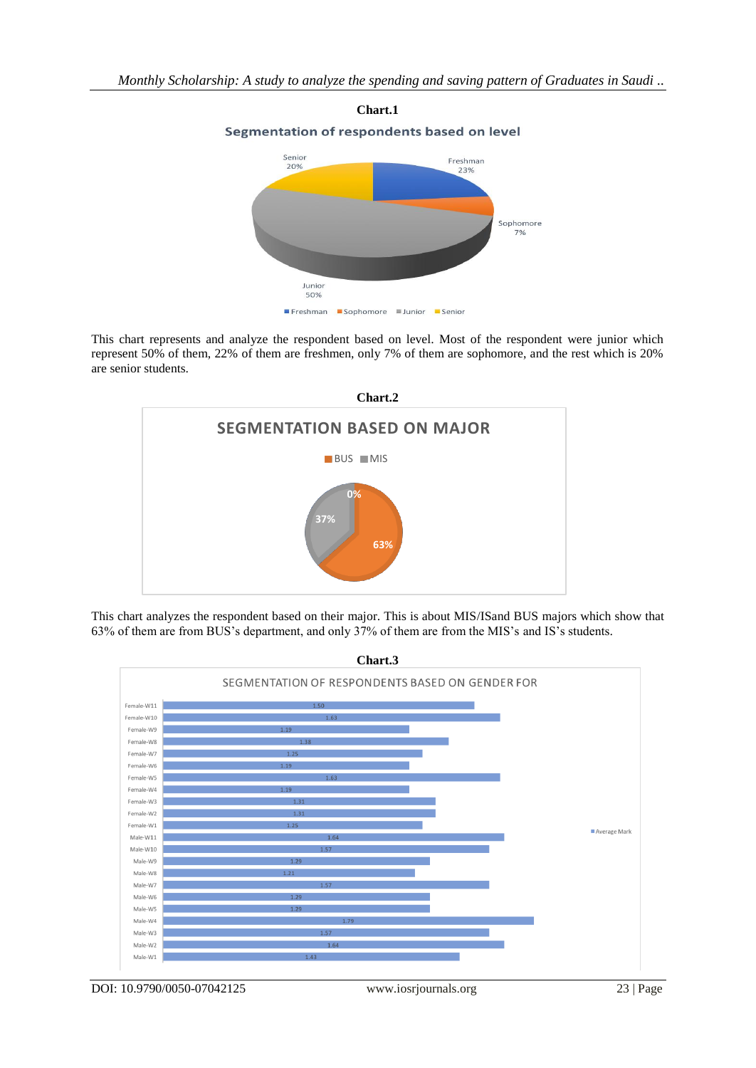

This chart represents and analyze the respondent based on level. Most of the respondent were junior which represent 50% of them, 22% of them are freshmen, only 7% of them are sophomore, and the rest which is 20% are senior students.



This chart analyzes the respondent based on their major. This is about MIS/ISand BUS majors which show that 63% of them are from BUS's department, and only 37% of them are from the MIS's and IS's students.

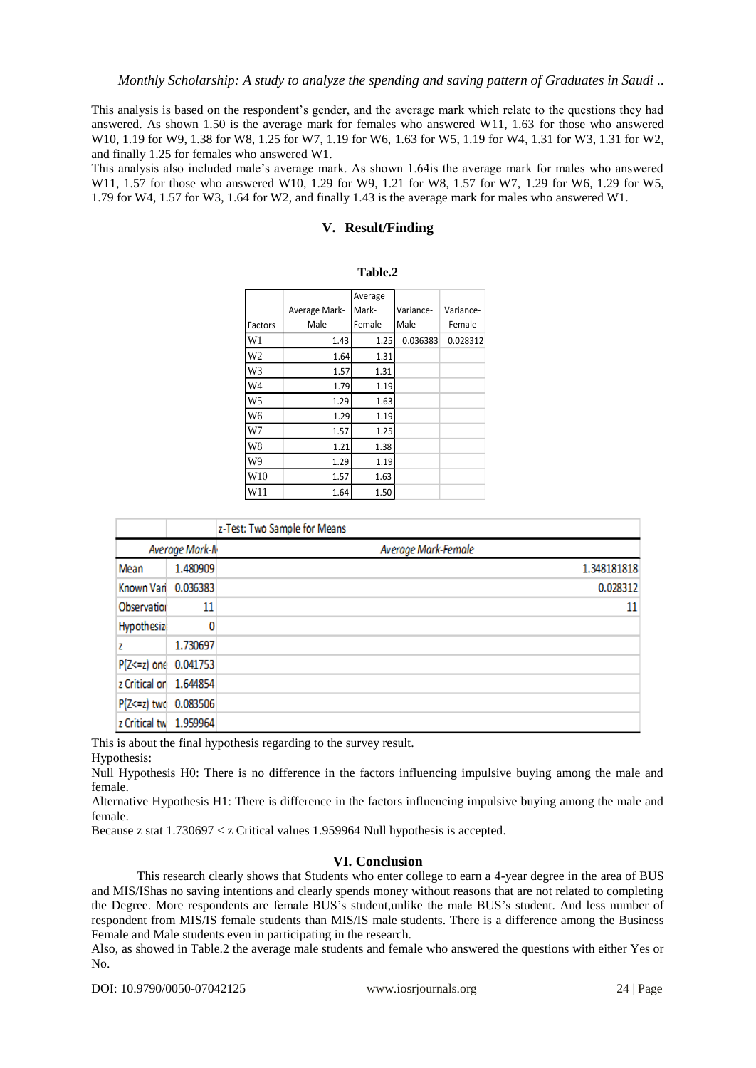This analysis is based on the respondent's gender, and the average mark which relate to the questions they had answered. As shown 1.50 is the average mark for females who answered W11, 1.63 for those who answered W10, 1.19 for W9, 1.38 for W8, 1.25 for W7, 1.19 for W6, 1.63 for W5, 1.19 for W4, 1.31 for W3, 1.31 for W2, and finally 1.25 for females who answered W1.

This analysis also included male's average mark. As shown 1.64is the average mark for males who answered W11, 1.57 for those who answered W10, 1.29 for W9, 1.21 for W8, 1.57 for W7, 1.29 for W6, 1.29 for W5, 1.79 for W4, 1.57 for W3, 1.64 for W2, and finally 1.43 is the average mark for males who answered W1.

# **V. Result/Finding**

|                 |               | Average |           |           |
|-----------------|---------------|---------|-----------|-----------|
|                 | Average Mark- | Mark-   | Variance- | Variance- |
| Factors         | Male          | Female  | Male      | Female    |
| W1              | 1.43          | 1.25    | 0.036383  | 0.028312  |
| W2              | 1.64          | 1.31    |           |           |
| W <sub>3</sub>  | 1.57          | 1.31    |           |           |
| W4              | 1.79          | 1.19    |           |           |
| W <sub>5</sub>  | 1.29          | 1.63    |           |           |
| W6              | 1.29          | 1.19    |           |           |
| W7              | 1.57          | 1.25    |           |           |
| W8              | 1.21          | 1.38    |           |           |
| W9              | 1.29          | 1.19    |           |           |
| W <sub>10</sub> | 1.57          | 1.63    |           |           |
| W11             | 1.64          | 1.50    |           |           |

| Table.2 |
|---------|
|---------|

|                        |                | z-Test: Two Sample for Means |                     |
|------------------------|----------------|------------------------------|---------------------|
|                        | Average Mark-N |                              | Average Mark-Female |
| Mean                   | 1.480909       |                              | 1.348181818         |
| Known Vari 0.036383    |                |                              | 0.028312            |
| Observation            | 11             |                              | 11                  |
| <b>Hypothesize</b>     |                |                              |                     |
| z                      | 1.730697       |                              |                     |
| P(Z<=z) one 0.041753   |                |                              |                     |
| z Critical or 1.644854 |                |                              |                     |
| P(Z<=z) two 0.083506   |                |                              |                     |
| z Critical tw 1.959964 |                |                              |                     |

This is about the final hypothesis regarding to the survey result.

Hypothesis:

Null Hypothesis H0: There is no difference in the factors influencing impulsive buying among the male and female.

Alternative Hypothesis H1: There is difference in the factors influencing impulsive buying among the male and female.

Because z stat 1.730697 < z Critical values 1.959964 Null hypothesis is accepted.

## **VI. Conclusion**

This research clearly shows that Students who enter college to earn a 4-year degree in the area of BUS and MIS/IShas no saving intentions and clearly spends money without reasons that are not related to completing the Degree. More respondents are female BUS's student,unlike the male BUS's student. And less number of respondent from MIS/IS female students than MIS/IS male students. There is a difference among the Business Female and Male students even in participating in the research.

Also, as showed in Table.2 the average male students and female who answered the questions with either Yes or No.